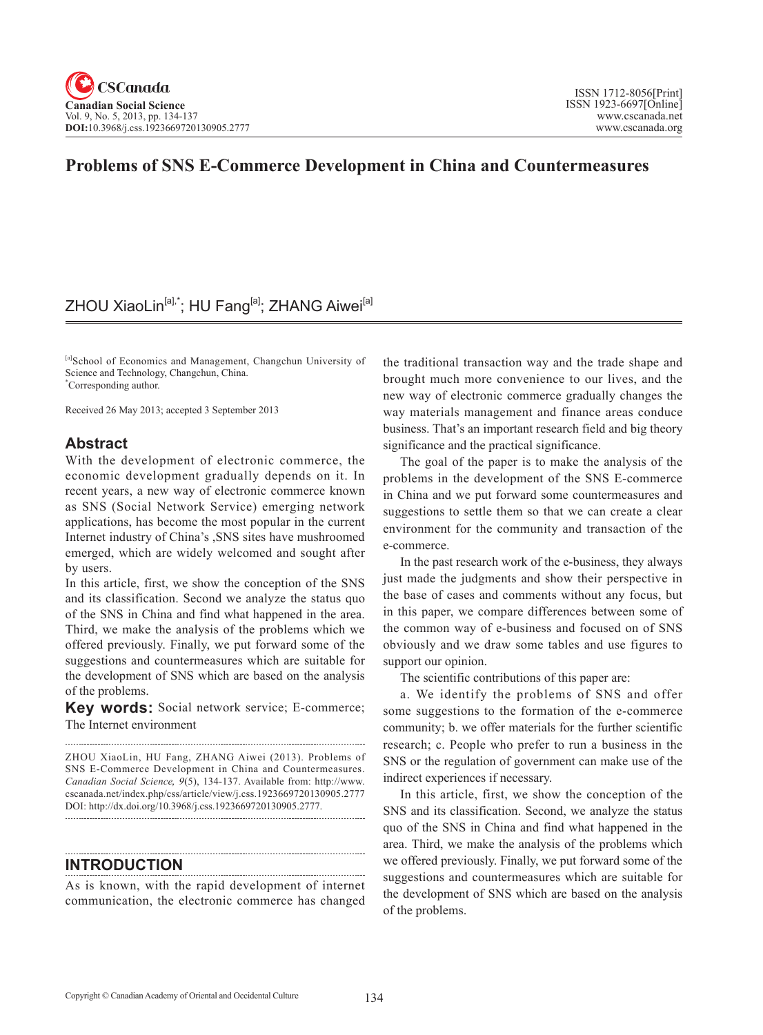## **Problems of SNS E-Commerce Development in China and Countermeasures**

## ZHOU XiaoLin<sup>[a],\*</sup>; HU Fang<sup>[a]</sup>; ZHANG Aiwei<sup>[a]</sup>

[a]School of Economics and Management, Changchun University of Science and Technology, Changchun, China. \* Corresponding author.

Received 26 May 2013; accepted 3 September 2013

## **Abstract**

With the development of electronic commerce, the economic development gradually depends on it. In recent years, a new way of electronic commerce known as SNS (Social Network Service) emerging network applications, has become the most popular in the current Internet industry of China's ,SNS sites have mushroomed emerged, which are widely welcomed and sought after by users.

In this article, first, we show the conception of the SNS and its classification. Second we analyze the status quo of the SNS in China and find what happened in the area. Third, we make the analysis of the problems which we offered previously. Finally, we put forward some of the suggestions and countermeasures which are suitable for the development of SNS which are based on the analysis of the problems.

**Key words:** Social network service; E-commerce; The Internet environment

ZHOU XiaoLin, HU Fang, ZHANG Aiwei (2013). Problems of SNS E-Commerce Development in China and Countermeasures. *Canadian Social Science*, <sup>9</sup>(5), 134-137. Available from: http://www. cscanada.net/index.php/css/article/view/j.css.1923669720130905.2777 DOI: http://dx.doi.org/10.3968/j.css.1923669720130905.2777.

## **INTRODUCTION**

As is known, with the rapid development of internet communication, the electronic commerce has changed

the traditional transaction way and the trade shape and brought much more convenience to our lives, and the new way of electronic commerce gradually changes the way materials management and finance areas conduce business. That's an important research field and big theory significance and the practical significance.

The goal of the paper is to make the analysis of the problems in the development of the SNS E-commerce in China and we put forward some countermeasures and suggestions to settle them so that we can create a clear environment for the community and transaction of the e-commerce.

In the past research work of the e-business, they always just made the judgments and show their perspective in the base of cases and comments without any focus, but in this paper, we compare differences between some of the common way of e-business and focused on of SNS obviously and we draw some tables and use figures to support our opinion.

The scientific contributions of this paper are:

a. We identify the problems of SNS and offer some suggestions to the formation of the e-commerce community; b. we offer materials for the further scientific research; c. People who prefer to run a business in the SNS or the regulation of government can make use of the indirect experiences if necessary.

In this article, first, we show the conception of the SNS and its classification. Second, we analyze the status quo of the SNS in China and find what happened in the area. Third, we make the analysis of the problems which we offered previously. Finally, we put forward some of the suggestions and countermeasures which are suitable for the development of SNS which are based on the analysis of the problems.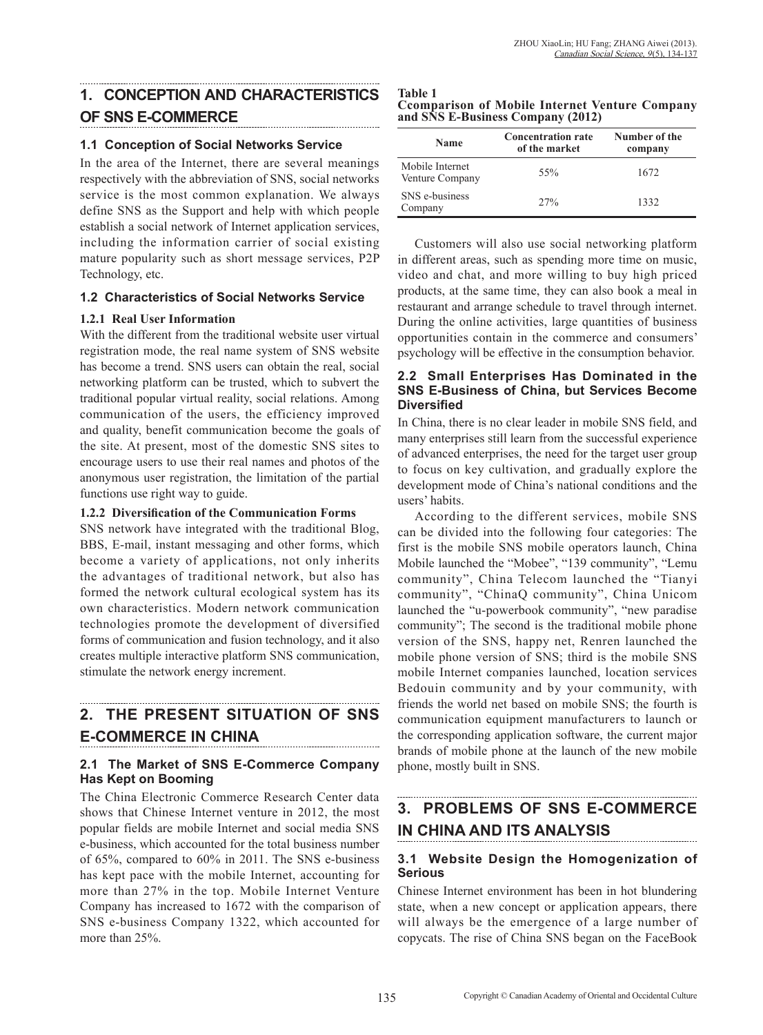## **1. CONCEPTION AND CHARACTERISTICS OF SNS E-COMMERCE**

### **1.1 Conception of Social Networks Service**

In the area of the Internet, there are several meanings respectively with the abbreviation of SNS, social networks service is the most common explanation. We always define SNS as the Support and help with which people establish a social network of Internet application services, including the information carrier of social existing mature popularity such as short message services, P2P Technology, etc.

### **1.2 Characteristics of Social Networks Service**

### **1.2.1 Real User Information**

With the different from the traditional website user virtual registration mode, the real name system of SNS website has become a trend. SNS users can obtain the real, social networking platform can be trusted, which to subvert the traditional popular virtual reality, social relations. Among communication of the users, the efficiency improved and quality, benefit communication become the goals of the site. At present, most of the domestic SNS sites to encourage users to use their real names and photos of the anonymous user registration, the limitation of the partial functions use right way to guide.

### **1.2.2 Diversification of the Communication Forms**

SNS network have integrated with the traditional Blog, BBS, E-mail, instant messaging and other forms, which become a variety of applications, not only inherits the advantages of traditional network, but also has formed the network cultural ecological system has its own characteristics. Modern network communication technologies promote the development of diversified forms of communication and fusion technology, and it also creates multiple interactive platform SNS communication, stimulate the network energy increment.

# **2. THE PRESENT SITUATION OF SNS E-COMMERCE IN CHINA**

## **2.1 The Market of SNS E-Commerce Company Has Kept on Booming**

The China Electronic Commerce Research Center data shows that Chinese Internet venture in 2012, the most popular fields are mobile Internet and social media SNS e-business, which accounted for the total business number of 65%, compared to 60% in 2011. The SNS e-business has kept pace with the mobile Internet, accounting for more than 27% in the top. Mobile Internet Venture Company has increased to 1672 with the comparison of SNS e-business Company 1322, which accounted for more than 25%.

| Table 1                                              |
|------------------------------------------------------|
| <b>Comparison of Mobile Internet Venture Company</b> |
| and SNS E-Business Company (2012)                    |

| <b>Name</b>                        | <b>Concentration rate</b><br>of the market | Number of the<br>company |
|------------------------------------|--------------------------------------------|--------------------------|
| Mobile Internet<br>Venture Company | 55%                                        | 1672                     |
| SNS e-business<br>Company          | $2.7\%$                                    | 1332                     |

Customers will also use social networking platform in different areas, such as spending more time on music, video and chat, and more willing to buy high priced products, at the same time, they can also book a meal in restaurant and arrange schedule to travel through internet. During the online activities, large quantities of business opportunities contain in the commerce and consumers' psychology will be effective in the consumption behavior.

### **2.2 Small Enterprises Has Dominated in the SNS E-Business of China, but Services Become Diversified**

In China, there is no clear leader in mobile SNS field, and many enterprises still learn from the successful experience of advanced enterprises, the need for the target user group to focus on key cultivation, and gradually explore the development mode of China's national conditions and the users' habits.

According to the different services, mobile SNS can be divided into the following four categories: The first is the mobile SNS mobile operators launch, China Mobile launched the "Mobee", "139 community", "Lemu community", China Telecom launched the "Tianyi community", "ChinaQ community", China Unicom launched the "u-powerbook community", "new paradise community"; The second is the traditional mobile phone version of the SNS, happy net, Renren launched the mobile phone version of SNS; third is the mobile SNS mobile Internet companies launched, location services Bedouin community and by your community, with friends the world net based on mobile SNS; the fourth is communication equipment manufacturers to launch or the corresponding application software, the current major brands of mobile phone at the launch of the new mobile phone, mostly built in SNS.

# **3. PROBLEMS OF SNS E-COMMERCE IN CHINA AND ITS ANALYSIS**

## **3.1 Website Design the Homogenization of Serious**

Chinese Internet environment has been in hot blundering state, when a new concept or application appears, there will always be the emergence of a large number of copycats. The rise of China SNS began on the FaceBook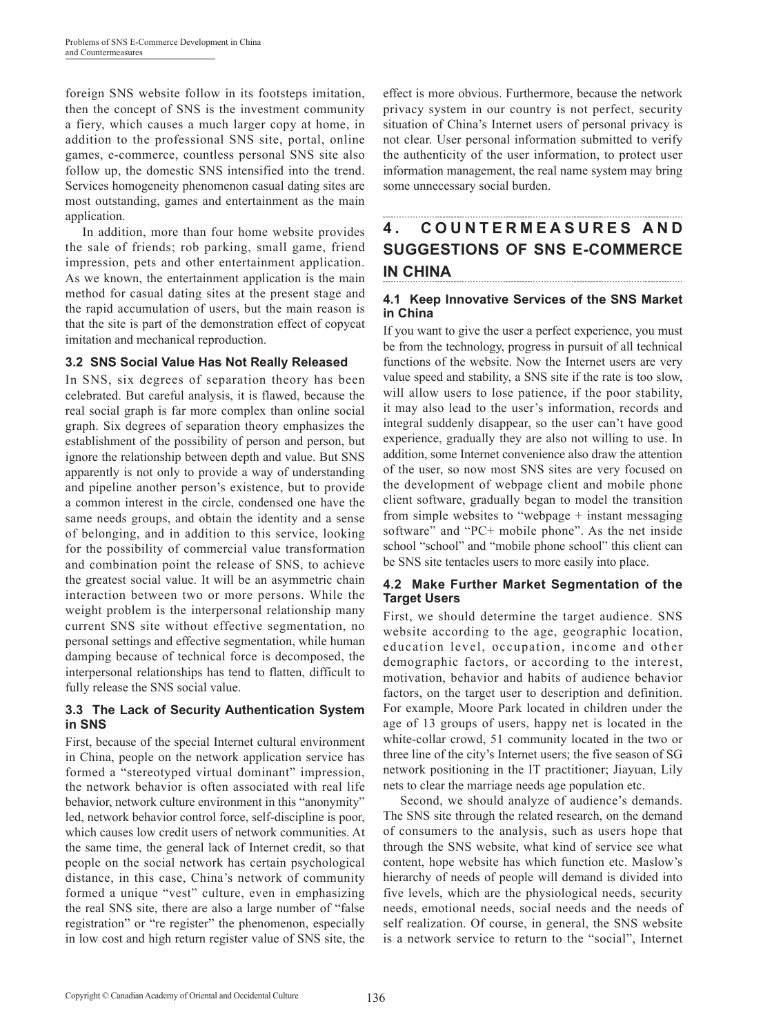foreign SNS website follow in its footsteps imitation, then the concept of SNS is the investment community a fiery, which causes a much larger copy at home, in addition to the professional SNS site, portal, online games, e-commerce, countless personal SNS site also follow up, the domestic SNS intensified into the trend. Services homogeneity phenomenon casual dating sites are most outstanding, games and entertainment as the main application.

In addition, more than four home website provides the sale of friends; rob parking, small game, friend impression, pets and other entertainment application. As we known, the entertainment application is the main method for casual dating sites at the present stage and the rapid accumulation of users, but the main reason is that the site is part of the demonstration effect of copycat imitation and mechanical reproduction.

### **3.2 SNS Social Value Has Not Really Released**

In SNS, six degrees of separation theory has been celebrated. But careful analysis, it is flawed, because the real social graph is far more complex than online social graph. Six degrees of separation theory emphasizes the establishment of the possibility of person and person, but ignore the relationship between depth and value. But SNS apparently is not only to provide a way of understanding and pipeline another person's existence, but to provide a common interest in the circle, condensed one have the same needs groups, and obtain the identity and a sense of belonging, and in addition to this service, looking for the possibility of commercial value transformation and combination point the release of SNS, to achieve the greatest social value. It will be an asymmetric chain interaction between two or more persons. While the weight problem is the interpersonal relationship many current SNS site without effective segmentation, no personal settings and effective segmentation, while human damping because of technical force is decomposed, the interpersonal relationships has tend to flatten, difficult to fully release the SNS social value.

### **3.3 The Lack of Security Authentication System in SNS**

First, because of the special Internet cultural environment in China, people on the network application service has formed a "stereotyped virtual dominant" impression, the network behavior is often associated with real life behavior, network culture environment in this "anonymity" led, network behavior control force, self-discipline is poor, which causes low credit users of network communities. At the same time, the general lack of Internet credit, so that people on the social network has certain psychological distance, in this case, China's network of community formed a unique "vest" culture, even in emphasizing the real SNS site, there are also a large number of "false registration" or "re register" the phenomenon, especially in low cost and high return register value of SNS site, the effect is more obvious. Furthermore, because the network privacy system in our country is not perfect, security situation of China's Internet users of personal privacy is not clear. User personal information submitted to verify the authenticity of the user information, to protect user information management, the real name system may bring some unnecessary social burden.

## **4 . C O U N T E R M E A S U R E S A N D SUGGESTIONS OF SNS E-COMMERCE IN CHINA**

### **4.1 Keep Innovative Services of the SNS Market in China**

If you want to give the user a perfect experience, you must be from the technology, progress in pursuit of all technical functions of the website. Now the Internet users are very value speed and stability, a SNS site if the rate is too slow, will allow users to lose patience, if the poor stability, it may also lead to the user's information, records and integral suddenly disappear, so the user can't have good experience, gradually they are also not willing to use. In addition, some Internet convenience also draw the attention of the user, so now most SNS sites are very focused on the development of webpage client and mobile phone client software, gradually began to model the transition from simple websites to "webpage + instant messaging software" and "PC+ mobile phone". As the net inside school "school" and "mobile phone school" this client can be SNS site tentacles users to more easily into place.

### **4.2 Make Further Market Segmentation of the Target Users**

First, we should determine the target audience. SNS website according to the age, geographic location, education level, occupation, income and other demographic factors, or according to the interest, motivation, behavior and habits of audience behavior factors, on the target user to description and definition. For example, Moore Park located in children under the age of 13 groups of users, happy net is located in the white-collar crowd, 51 community located in the two or three line of the city's Internet users; the five season of SG network positioning in the IT practitioner; Jiayuan, Lily nets to clear the marriage needs age population etc.

Second, we should analyze of audience's demands. The SNS site through the related research, on the demand of consumers to the analysis, such as users hope that through the SNS website, what kind of service see what content, hope website has which function etc. Maslow's hierarchy of needs of people will demand is divided into five levels, which are the physiological needs, security needs, emotional needs, social needs and the needs of self realization. Of course, in general, the SNS website is a network service to return to the "social", Internet